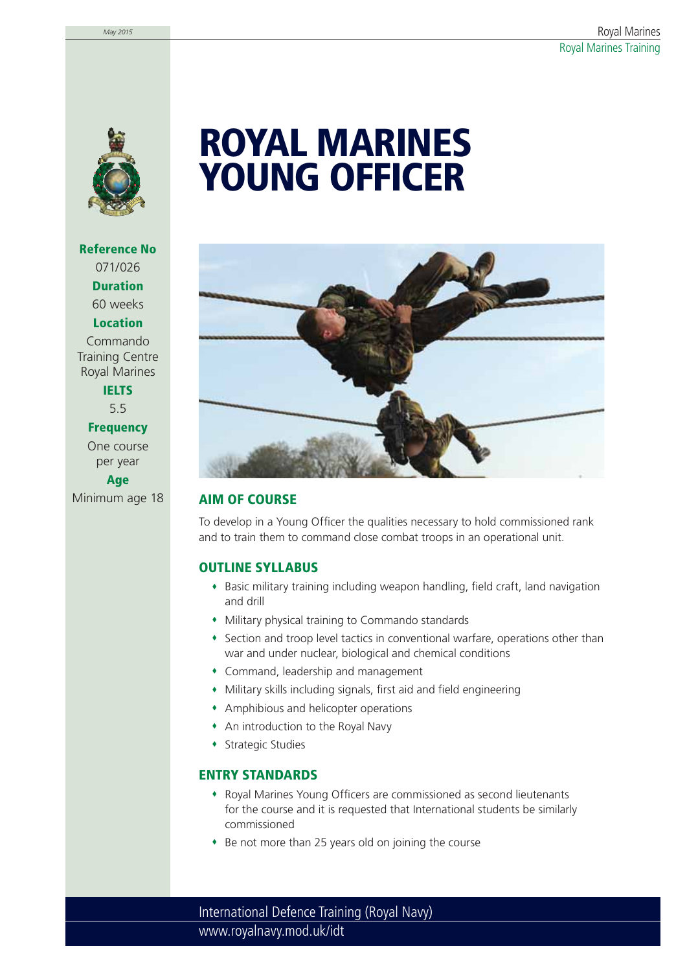

**Reference No** 071/026 **Duration** 60 weeks **Location** Commando

Training Centre Royal Marines

**IELTS** 5.5

**Frequency**

One course per year **Age**

# **ROYAL MARINES YOUNG OFFICER**



## Minimum age 18 **AIM OF COURSE**

To develop in a Young Officer the qualities necessary to hold commissioned rank and to train them to command close combat troops in an operational unit.

## **OUTLINE SYLLABUS**

- Basic military training including weapon handling, field craft, land navigation and drill
- Military physical training to Commando standards
- Section and troop level tactics in conventional warfare, operations other than war and under nuclear, biological and chemical conditions
- Command, leadership and management
- Military skills including signals, first aid and field engineering
- Amphibious and helicopter operations
- An introduction to the Royal Navy
- **+ Strategic Studies**

## **ENTRY STANDARDS**

- Royal Marines Young Officers are commissioned as second lieutenants for the course and it is requested that International students be similarly commissioned
- Be not more than 25 years old on joining the course

www.royalnavy.mod.uk/idt International Defence Training (Royal Navy)